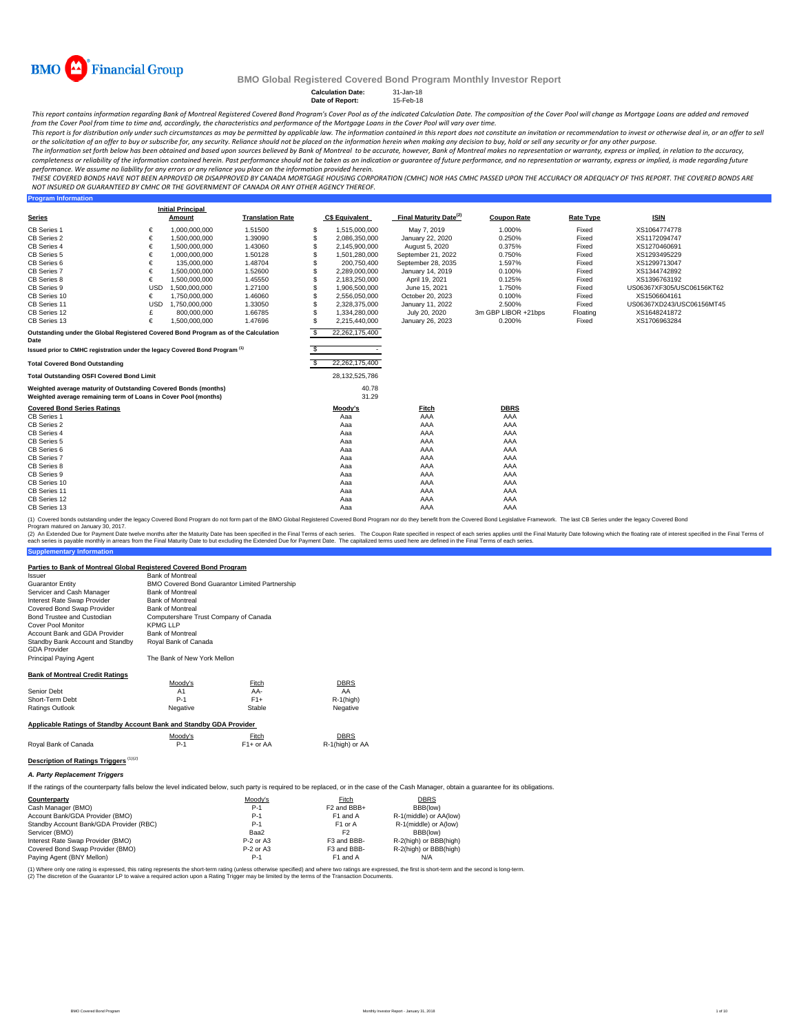

**Program Information**

#### **BMO Global Registered Covered Bond Program Monthly Investor Report**

**Calculation Date:** 31-Jan-18 **Date of Report:** 15-Feb-18

This report contains information regarding Bank of Montreal Registered Covered Bond Program's Cover Pool as of the indicated Calculation Date. The composition of the Cover Pool will change as Mortgage Loans are added and r from the Cover Pool from time to time and, accordingly, the characteristics and performance of the Mortgage Loans in the Cover Pool will vary over time.

This report is for distribution only under such circumstances as may be permitted by applicable law. The information contained in this report does not constitute an invitation or recommendation to invest or otherwise deal

The information set forth below has been obtained and based upon sources believed by Bank of Montreal to be accurate, however, Bank of Montreal makes no representation or warranty, express or implied, in relation to the ac completeness or reliability of the information contained herein. Past performance should not be taken as an indication or guarantee of future performance, and no representation or warranty, express or implied, is made rega performance. We assume no liability for any errors or any reliance you place on the information provided herein.

THESE COVERED BONDS HAVE NOT BEEN APPROVED OR DISAPPROVED BY CANADA MORTGAGE HOUSING CORPORATION (CMHC) NOR HAS CMHC PASSED UPON THE ACCURACY OR ADEQUACY OF THIS REPORT. THE COVERED BONDS ARE<br>NOT INSURED OR GUARANTEED BY C

| <b>Series</b>                                                                                                                      |            | <b>Initial Principal</b><br>Amount | <b>Translation Rate</b> |    | <b>C\$ Equivalent</b> | Final Maturity Date <sup>(2)</sup> | <b>Coupon Rate</b>  | <b>Rate Type</b> | <b>ISIN</b>               |
|------------------------------------------------------------------------------------------------------------------------------------|------------|------------------------------------|-------------------------|----|-----------------------|------------------------------------|---------------------|------------------|---------------------------|
| CB Series 1                                                                                                                        | €          | 1.000.000.000                      | 1.51500                 | S  | 1.515.000.000         | May 7, 2019                        | 1.000%              | Fixed            | XS1064774778              |
| CB Series 2                                                                                                                        | €          | 1.500.000.000                      | 1.39090                 |    | 2,086,350,000         | January 22, 2020                   | 0.250%              | Fixed            | XS1172094747              |
| CB Series 4                                                                                                                        | €          | 1,500,000,000                      | 1.43060                 |    | 2,145,900,000         | August 5, 2020                     | 0.375%              | Fixed            | XS1270460691              |
| CB Series 5                                                                                                                        | €          | 1,000,000,000                      | 1.50128                 |    | 1,501,280,000         | September 21, 2022                 | 0.750%              | Fixed            | XS1293495229              |
| CB Series 6                                                                                                                        | €          | 135.000.000                        | 1.48704                 |    | 200.750.400           | September 28, 2035                 | 1.597%              | Fixed            | XS1299713047              |
| CB Series 7                                                                                                                        | €          | 1,500,000,000                      | 1.52600                 | S  | 2,289,000,000         | January 14, 2019                   | 0.100%              | Fixed            | XS1344742892              |
| CB Series 8                                                                                                                        | €          | 1,500,000,000                      | 1.45550                 | S  | 2,183,250,000         | April 19, 2021                     | 0.125%              | Fixed            | XS1396763192              |
| CB Series 9                                                                                                                        | <b>USD</b> | 1,500,000,000                      | 1.27100                 |    | 1,906,500,000         | June 15, 2021                      | 1.750%              | Fixed            | US06367XF305/USC06156KT62 |
| CB Series 10                                                                                                                       |            | 1,750,000,000                      | 1.46060                 |    | 2,556,050,000         | October 20, 2023                   | 0.100%              | Fixed            | XS1506604161              |
| CB Series 11                                                                                                                       | <b>USD</b> | 1.750.000.000                      | 1.33050                 |    | 2.328.375.000         | January 11, 2022                   | 2.500%              | Fixed            | US06367XD243/USC06156MT45 |
| CB Series 12                                                                                                                       |            | 800,000,000                        | 1.66785                 |    | 1.334.280.000         | July 20, 2020                      | 3m GBP LIBOR +21bps | Floating         | XS1648241872              |
| CB Series 13                                                                                                                       | €          | 1,500,000,000                      | 1.47696                 |    | 2,215,440,000         | January 26, 2023                   | 0.200%              | Fixed            | XS1706963284              |
| Outstanding under the Global Registered Covered Bond Program as of the Calculation<br>Date                                         |            |                                    |                         | S. | 22,262,175,400        |                                    |                     |                  |                           |
| Issued prior to CMHC registration under the legacy Covered Bond Program <sup>(1)</sup>                                             |            |                                    |                         | \$ |                       |                                    |                     |                  |                           |
| <b>Total Covered Bond Outstanding</b>                                                                                              |            |                                    |                         | S  | 22,262,175,400        |                                    |                     |                  |                           |
| <b>Total Outstanding OSFI Covered Bond Limit</b>                                                                                   |            |                                    |                         |    | 28,132,525,786        |                                    |                     |                  |                           |
| Weighted average maturity of Outstanding Covered Bonds (months)<br>Weighted average remaining term of Loans in Cover Pool (months) |            |                                    |                         |    | 40.78<br>31.29        |                                    |                     |                  |                           |
| <b>Covered Bond Series Ratings</b>                                                                                                 |            |                                    |                         |    | Moody's               | Fitch                              | <b>DBRS</b>         |                  |                           |
| CB Series 1                                                                                                                        |            |                                    |                         |    | Aaa                   | AAA                                | AAA                 |                  |                           |
| CB Series 2<br>CB Series 4                                                                                                         |            |                                    |                         |    | Aaa                   | AAA<br>AAA                         | AAA<br>AAA          |                  |                           |
| CB Series 5                                                                                                                        |            |                                    |                         |    | Aaa<br>Aaa            | AAA                                | AAA                 |                  |                           |
| CB Series 6                                                                                                                        |            |                                    |                         |    | Aaa                   | AAA                                | AAA                 |                  |                           |
| CB Series 7                                                                                                                        |            |                                    |                         |    | Aaa                   | AAA                                | AAA                 |                  |                           |
| CB Series 8                                                                                                                        |            |                                    |                         |    | Aaa                   | AAA                                | AAA                 |                  |                           |
| CB Series 9                                                                                                                        |            |                                    |                         |    | Aaa                   | AAA                                | AAA                 |                  |                           |
| CB Series 10                                                                                                                       |            |                                    |                         |    | Aaa                   | AAA                                | AAA                 |                  |                           |
| CB Series 11                                                                                                                       |            |                                    |                         |    | Aaa                   | AAA                                | AAA                 |                  |                           |
| CB Series 12                                                                                                                       |            |                                    |                         |    | Aaa                   | AAA                                | AAA                 |                  |                           |

(1) Covered bonds outstanding under the legacy Covered Bond Program do not form part of the BMO Global Registered Covered Bond Program nor do they benefit from the Covered Bond Legislative Framework. The last CB Series und

**Supplementary Information** (2) An Extended Due for Payment Date twelve months after the Maturity Date has been specified in the Final Terms of each series. The Coupon Rate specified in the Final Maturity Date to but excluding the Extended Due for Pa

#### **Parties to Bank of Montreal Global Registered Covered Bond Program**

| and to Bank of montroal orosal hospital con ou out out Bonu I respain<br>Issuer | <b>Bank of Montreal</b>               |                                                |              |
|---------------------------------------------------------------------------------|---------------------------------------|------------------------------------------------|--------------|
| <b>Guarantor Entity</b>                                                         |                                       | BMO Covered Bond Guarantor Limited Partnership |              |
| Servicer and Cash Manager                                                       | <b>Bank of Montreal</b>               |                                                |              |
| Interest Rate Swap Provider                                                     | <b>Bank of Montreal</b>               |                                                |              |
| Covered Bond Swap Provider                                                      | <b>Bank of Montreal</b>               |                                                |              |
| Bond Trustee and Custodian                                                      | Computershare Trust Company of Canada |                                                |              |
| Cover Pool Monitor                                                              | <b>KPMGLLP</b>                        |                                                |              |
| Account Bank and GDA Provider                                                   | <b>Bank of Montreal</b>               |                                                |              |
| Standby Bank Account and Standby<br><b>GDA Provider</b>                         | Royal Bank of Canada                  |                                                |              |
| Principal Paving Agent                                                          | The Bank of New York Mellon           |                                                |              |
| <b>Bank of Montreal Credit Ratings</b>                                          |                                       |                                                |              |
|                                                                                 | Moody's                               | Fitch                                          | <b>DBRS</b>  |
| Senior Debt                                                                     | A1                                    | AA-                                            | AA           |
| Short-Term Debt                                                                 | $P-1$                                 | $F1+$                                          | $R-1$ (high) |
| Ratings Outlook                                                                 | Negative                              | Stable                                         | Negative     |
| Applicable Ratings of Standby Account Bank and Standby GDA Provider             |                                       |                                                |              |

|                      | Moodv's | Fitch<br>.             | DBRS            |
|----------------------|---------|------------------------|-----------------|
| Roval Bank of Canada |         | F <sub>1</sub> + or AA | R-1(high) or AA |

**Description of Ratings Triggers** (1)(2)

*A. Party Replacement Triggers*

If the ratings of the counterparty falls below the level indicated below, such party is required to be replaced, or in the case of the Cash Manager, obtain a quarantee for its obligations.

CB Series 13 Aaa AAA AAA

| Counterparty                            | Moody's     | Fitch                   | <b>DBRS</b>            |
|-----------------------------------------|-------------|-------------------------|------------------------|
| Cash Manager (BMO)                      | $P-1$       | F <sub>2</sub> and BBB+ | BBB(low)               |
| Account Bank/GDA Provider (BMO)         | $P-1$       | F1 and A                | R-1(middle) or AA(low) |
| Standby Account Bank/GDA Provider (RBC) | $P-1$       | F <sub>1</sub> or A     | R-1(middle) or A(low)  |
| Servicer (BMO)                          | Baa2        | F <sub>2</sub>          | BBB(low)               |
| Interest Rate Swap Provider (BMO)       | $P-2$ or A3 | F3 and BBB-             | R-2(high) or BBB(high) |
| Covered Bond Swap Provider (BMO)        | $P-2$ or A3 | F3 and BBB-             | R-2(high) or BBB(high) |
| Paying Agent (BNY Mellon)               | P-1         | F1 and A                | N/A                    |

(1) Where only one rating is expressed, this rating represents the short-term rating (unless otherwise specified) and where two ratings are expressed, the first is short-term and the second is long-term.<br>(2) The discretion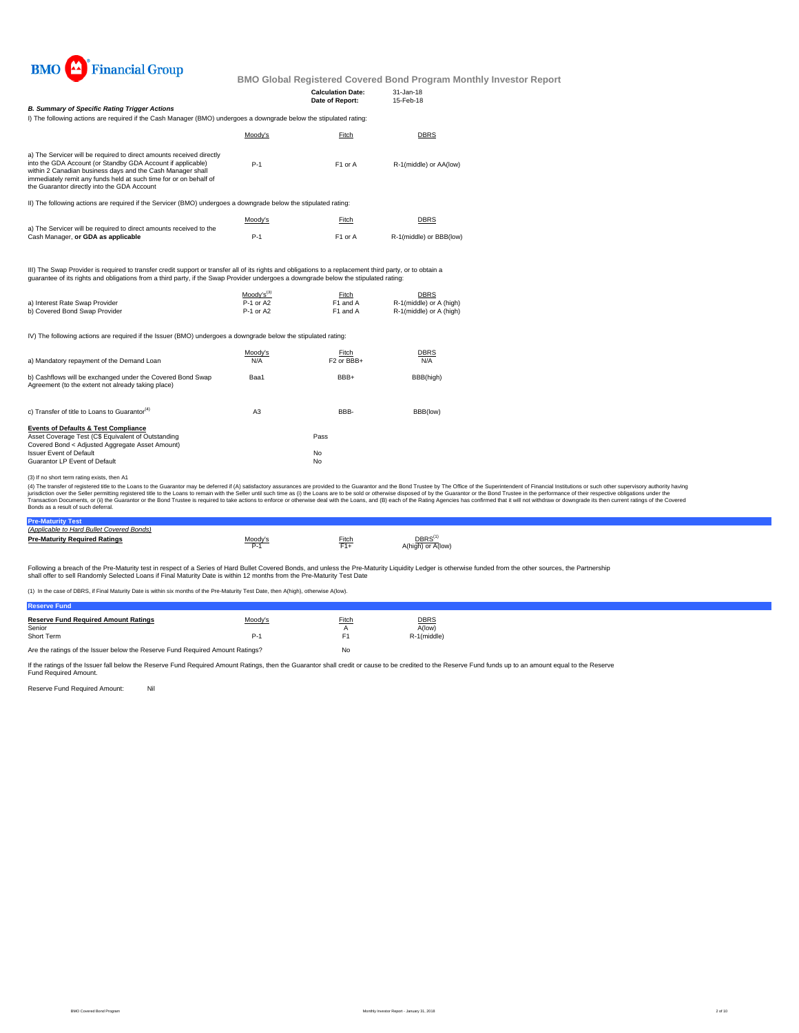

**Calculation Date:** 31-Jan-18

|                                                                                                                                                                                                                                                                                                                       |         | Date of Report:     | 15-Feb-18               |  |
|-----------------------------------------------------------------------------------------------------------------------------------------------------------------------------------------------------------------------------------------------------------------------------------------------------------------------|---------|---------------------|-------------------------|--|
| <b>B. Summary of Specific Rating Trigger Actions</b><br>I) The following actions are required if the Cash Manager (BMO) undergoes a downgrade below the stipulated rating:                                                                                                                                            |         |                     |                         |  |
|                                                                                                                                                                                                                                                                                                                       | Moody's | Fitch               | <b>DBRS</b>             |  |
| a) The Servicer will be required to direct amounts received directly<br>into the GDA Account (or Standby GDA Account if applicable)<br>within 2 Canadian business days and the Cash Manager shall<br>immediately remit any funds held at such time for or on behalf of<br>the Guarantor directly into the GDA Account | $P-1$   | F1 or A             | R-1(middle) or AA(low)  |  |
| II) The following actions are required if the Servicer (BMO) undergoes a downgrade below the stipulated rating:                                                                                                                                                                                                       |         |                     |                         |  |
|                                                                                                                                                                                                                                                                                                                       | Moody's | Fitch               | <b>DBRS</b>             |  |
| a) The Servicer will be required to direct amounts received to the<br>Cash Manager, or GDA as applicable                                                                                                                                                                                                              | $P-1$   | F <sub>1</sub> or A | R-1(middle) or BBB(low) |  |
|                                                                                                                                                                                                                                                                                                                       |         |                     |                         |  |

III) The Swap Provider is required to transfer credit support or transfer all of its rights and obligations to a replacement third party, or to obtain a<br>guarantee of its rights and obligations from a third party, if the Sw

|                                | $Modv's^{(3)}$ | Fitch    | DBRS                    |
|--------------------------------|----------------|----------|-------------------------|
| a) Interest Rate Swap Provider | P-1 or A2      | F1 and A | R-1(middle) or A (high) |
| b) Covered Bond Swap Provider  | P-1 or A2      | F1 and A | R-1(middle) or A (high) |

IV) The following actions are required if the Issuer (BMO) undergoes a downgrade below the stipulated rating:

| a) Mandatory repayment of the Demand Loan                                                                                                                                                                                   | Moody's<br>N/A | Fitch<br>F <sub>2</sub> or BBB+ | <b>DBRS</b><br>N/A |
|-----------------------------------------------------------------------------------------------------------------------------------------------------------------------------------------------------------------------------|----------------|---------------------------------|--------------------|
| b) Cashflows will be exchanged under the Covered Bond Swap<br>Agreement (to the extent not already taking place)                                                                                                            | Baa1           | BBB+                            | BBB(high)          |
| c) Transfer of title to Loans to Guarantor <sup>(4)</sup>                                                                                                                                                                   | A <sub>3</sub> | BBB-                            | BBB(low)           |
| <b>Events of Defaults &amp; Test Compliance</b><br>Asset Coverage Test (C\$ Equivalent of Outstanding<br>Covered Bond < Adjusted Aggregate Asset Amount)<br><b>Issuer Event of Default</b><br>Guarantor LP Event of Default |                | Pass<br>No<br>No                |                    |

(3) If no short term rating exists, then A1

(4) The transfer of registered tilte to the Loans to the Guarantor may be deferred if (A) satistadoy assurances are provided to the Guarantor and the Bond Trustee by the Odifice of the System Trustee in the performance of

#### **Pre-Maturity Test** *(Applicable to Hard Bullet Covered Bonds)*

| <u>IADDIICADIE IU FAIU DUIIEI COVEIEU DUIIUSI </u> |         |          |                                         |
|----------------------------------------------------|---------|----------|-----------------------------------------|
| <b>Pre-Maturity Required Ratings</b>               | Moodv's | $F$ itch | DBRS <sup>(1</sup><br>A(high) or A(low) |

Following a breach of the Pre-Maturity test in respect of a Series of Hard Bullet Covered Bonds, and unless the Pre-Maturity Liquidity Ledger is otherwise funded from the other sources, the Partnership<br>shall offer to sell

(1) In the case of DBRS, if Final Maturity Date is within six months of the Pre-Maturity Test Date, then A(high), otherwise A(low).

| <b>Reserve Fund Required Amount Ratings</b> | Moody's | Fitch | <b>DBRS</b> |
|---------------------------------------------|---------|-------|-------------|
| Senior                                      |         |       | A(low)      |
| Short Term                                  | P.      |       | R-1(middle) |
|                                             |         |       |             |

Are the ratings of the Issuer below the Reserve Fund Required Amount Ratings? No

If the ratings of the Issuer fall below the Reserve Fund Required Amount Ratings, then the Guarantor shall credit or cause to be credited to the Reserve Fund funds up to an amount equal to the Reserve Fund Required Amount.

Reserve Fund Required Amount: Nil

**Reserve Fund**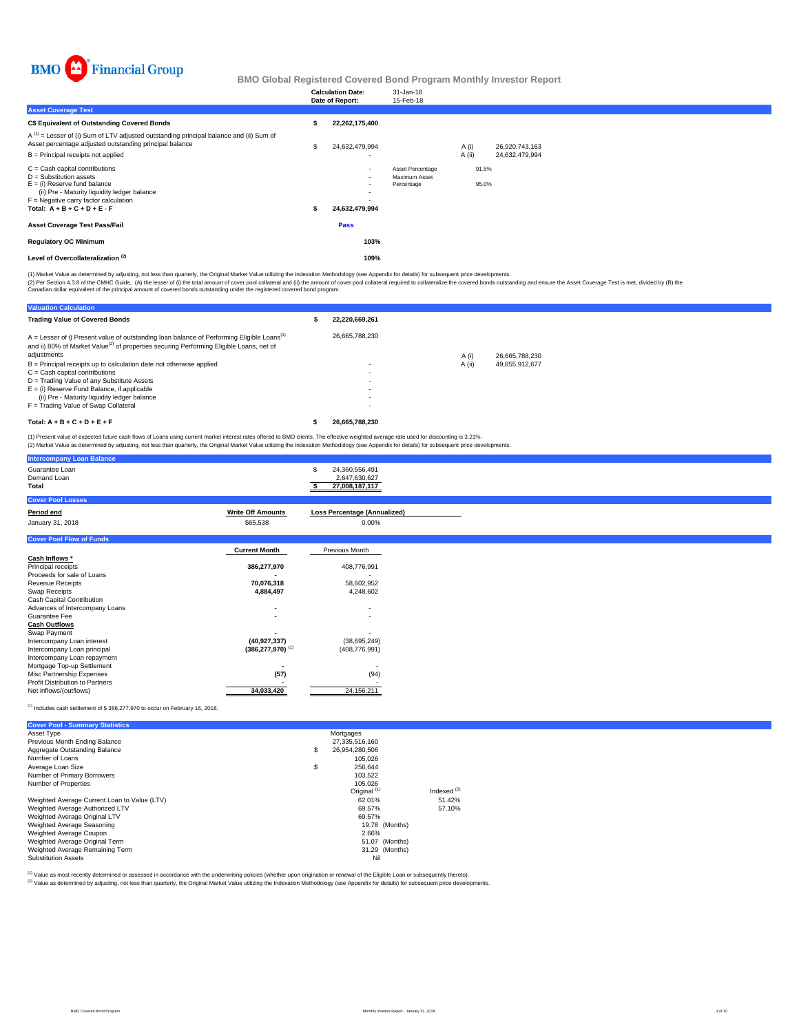

|                                                                                                                                                                                                                              | <b>Calculation Date:</b><br>Date of Report: | 31-Jan-18<br>15-Feb-18                          |        |                |                |  |
|------------------------------------------------------------------------------------------------------------------------------------------------------------------------------------------------------------------------------|---------------------------------------------|-------------------------------------------------|--------|----------------|----------------|--|
| <b>Asset Coverage Test</b>                                                                                                                                                                                                   |                                             |                                                 |        |                |                |  |
| C\$ Equivalent of Outstanding Covered Bonds                                                                                                                                                                                  | 22,262,175,400                              |                                                 |        |                |                |  |
| $A^{(1)}$ = Lesser of (i) Sum of LTV adjusted outstanding principal balance and (ii) Sum of<br>Asset percentage adjusted outstanding principal balance                                                                       | 24,632,479,994                              |                                                 | A (i)  |                | 26,920,743,163 |  |
| B = Principal receipts not applied                                                                                                                                                                                           |                                             |                                                 | A (ii) |                | 24,632,479,994 |  |
| $C =$ Cash capital contributions<br>$D =$ Substitution assets<br>$E =$ (i) Reserve fund balance<br>(ii) Pre - Maturity liquidity ledger balance<br>$F =$ Negative carry factor calculation<br>Total: $A + B + C + D + E - F$ | $\sim$<br>$\sim$<br>24,632,479,994          | Asset Percentage<br>Maximum Asset<br>Percentage |        | 91.5%<br>95.0% |                |  |
| <b>Asset Coverage Test Pass/Fail</b>                                                                                                                                                                                         | Pass                                        |                                                 |        |                |                |  |
| <b>Regulatory OC Minimum</b>                                                                                                                                                                                                 | 103%                                        |                                                 |        |                |                |  |
| Level of Overcollateralization <sup>(2)</sup>                                                                                                                                                                                | 109%                                        |                                                 |        |                |                |  |

(1) Market Value as determined by adjusting, not less than quarterly, the Original Market Value utilizing the Indexation Methodology (see Appendix for details) for subsequent price developments.

(2) Per Section 4.3.8 of the CMHC Guide, (A) the lesser of (i) the total amount of cover pool collateral and (ii) the amount of cover pool collateral required to collateralize the covered bonds outstanding and ensure the A

| <b>Valuation Calculation</b>                                                                                                                                                                                                   |                |        |                |
|--------------------------------------------------------------------------------------------------------------------------------------------------------------------------------------------------------------------------------|----------------|--------|----------------|
| <b>Trading Value of Covered Bonds</b>                                                                                                                                                                                          | 22.220.669.261 |        |                |
| $A =$ Lesser of i) Present value of outstanding loan balance of Performing Eligible Loans <sup>(1)</sup><br>and ii) 80% of Market Value <sup>(2)</sup> of properties securing Performing Eligible Loans, net of<br>adjustments | 26.665.788.230 | A (i)  | 26.665.788.230 |
| B = Principal receipts up to calculation date not otherwise applied<br>$C = Cash$ capital contributions                                                                                                                        |                | A (ii) | 49.855.912.677 |
| D = Trading Value of any Substitute Assets<br>$E =$ (i) Reserve Fund Balance, if applicable                                                                                                                                    |                |        |                |
| (ii) Pre - Maturity liquidity ledger balance                                                                                                                                                                                   |                |        |                |
| F = Trading Value of Swap Collateral                                                                                                                                                                                           |                |        |                |
| Total: $A + B + C + D + E + F$                                                                                                                                                                                                 | 26.665.788.230 |        |                |

(1) Present value of expected future cash flows of Loans using current market interest rates offered to BMO clients. The effective weighted average rate used for discounting is 3.21%.<br>(2) Market Value as determined by adju

| مالحا والمتحافظ والمستنق المتحالي المتحدثان والمتحدث والمتحدث والمتحدث<br>Guarantee Loan<br>Demand Loan<br>Total |                                  | 24,360,556,491<br>2,647,630,627<br>27,008,187,117 |  |
|------------------------------------------------------------------------------------------------------------------|----------------------------------|---------------------------------------------------|--|
| <b>Cover Pool Losses</b>                                                                                         |                                  |                                                   |  |
| Period end                                                                                                       | <b>Write Off Amounts</b>         | <b>Loss Percentage (Annualized)</b>               |  |
| January 31, 2018                                                                                                 | \$65,538                         | 0.00%                                             |  |
| <b>Cover Pool Flow of Funds</b>                                                                                  |                                  |                                                   |  |
|                                                                                                                  | <b>Current Month</b>             | Previous Month                                    |  |
| Cash Inflows *                                                                                                   |                                  |                                                   |  |
| Principal receipts                                                                                               | 386,277,970                      | 408,776,991                                       |  |
| Proceeds for sale of Loans                                                                                       |                                  |                                                   |  |
| <b>Revenue Receipts</b>                                                                                          | 70,076,318                       | 58,602,952                                        |  |
| Swap Receipts                                                                                                    | 4,884,497                        | 4,248,602                                         |  |
| Cash Capital Contribution                                                                                        |                                  |                                                   |  |
| Advances of Intercompany Loans                                                                                   | $\overline{\phantom{a}}$         | $\overline{\phantom{a}}$                          |  |
| Guarantee Fee                                                                                                    |                                  | $\overline{\phantom{a}}$                          |  |
| <b>Cash Outflows</b>                                                                                             |                                  |                                                   |  |
| Swap Payment                                                                                                     |                                  |                                                   |  |
| Intercompany Loan interest                                                                                       | (40, 927, 337)                   | (38,695,249)                                      |  |
| Intercompany Loan principal                                                                                      | $(386, 277, 970)$ <sup>(1)</sup> | (408, 776, 991)                                   |  |
| Intercompany Loan repayment                                                                                      |                                  |                                                   |  |
| Mortgage Top-up Settlement                                                                                       |                                  |                                                   |  |
| Misc Partnership Expenses                                                                                        | (57)                             | (94)                                              |  |
| Profit Distribution to Partners                                                                                  |                                  |                                                   |  |
| Net inflows/(outflows)                                                                                           | 34,033,420                       | 24, 156, 211                                      |  |

#### (1) Includes cash settlement of \$ 386,277,970 to occur on February 16, 2018.

**Intercompany Loan Balance**

| <b>Cover Pool - Summary Statistics</b>       |                         |                |
|----------------------------------------------|-------------------------|----------------|
| Asset Type                                   | Mortgages               |                |
| Previous Month Ending Balance                | 27.335.516.160          |                |
| Aggregate Outstanding Balance                | \$<br>26.954.280.506    |                |
| Number of Loans                              | 105.026                 |                |
| Average Loan Size                            | \$<br>256.644           |                |
| Number of Primary Borrowers                  | 103.522                 |                |
| Number of Properties                         | 105.026                 |                |
|                                              | Original <sup>(1)</sup> | Indexed $(2)$  |
| Weighted Average Current Loan to Value (LTV) | 62.01%                  | 51.42%         |
| Weighted Average Authorized LTV              | 69.57%                  | 57.10%         |
| Weighted Average Original LTV                | 69.57%                  |                |
| Weighted Average Seasoning                   |                         | 19.78 (Months) |
| Weighted Average Coupon                      | 2.66%                   |                |
| Weighted Average Original Term               |                         | 51.07 (Months) |
| Weighted Average Remaining Term              |                         | 31.29 (Months) |
| <b>Substitution Assets</b>                   | Nil                     |                |

(1) Value as most recently determined or assessed in accordance with the underwriting policies (whether upon origination or renewal of the Eligible Loan or subsequently thereto).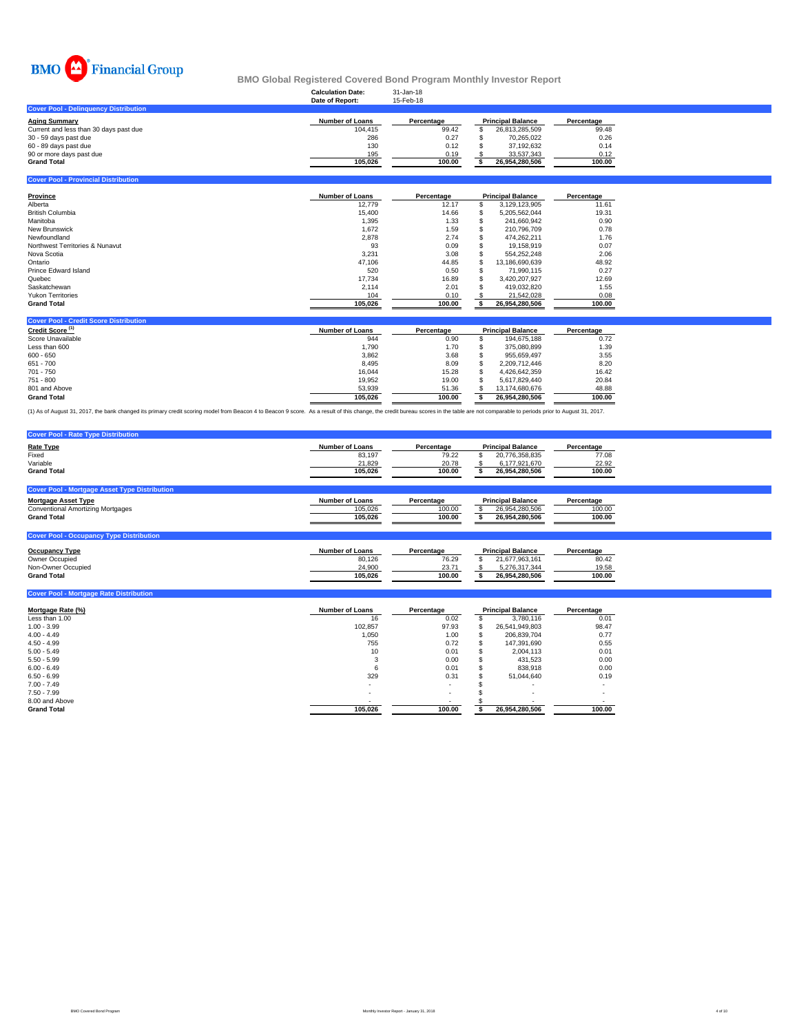

### **Calculation Date:** 31-Jan-18 **BMO Global Registered Covered Bond Program Monthly Investor Report**

|                                              | Date of Report:        | 15-Feb-18  |                          |            |
|----------------------------------------------|------------------------|------------|--------------------------|------------|
| <b>Cover Pool - Delinguency Distribution</b> |                        |            |                          |            |
| Aging Summary                                | <b>Number of Loans</b> | Percentage | <b>Principal Balance</b> | Percentage |
| Current and less than 30 days past due       | 104.415                | 99.42      | 26.813.285.509           | 99.48      |
| 30 - 59 days past due                        | 286                    | 0.27       | 70.265.022               | 0.26       |
| 60 - 89 days past due                        | 130                    | 0.12       | 37.192.632               | 0.14       |
| 90 or more days past due                     | 195                    | 0.19       | 33.537.343               | 0.12       |
| Grand Total                                  | 105.026                | 100.00     | 26.954.280.506           | 100.00     |
|                                              |                        |            |                          |            |

**Cover Pool - Provincial Distribution**

| Province                        | <b>Number of Loans</b> | Percentage |   | <b>Principal Balance</b> | Percentage |
|---------------------------------|------------------------|------------|---|--------------------------|------------|
| Alberta                         | 12.779                 | 12.17      |   | 3.129.123.905            | 11.61      |
| <b>British Columbia</b>         | 15,400                 | 14.66      | ж | 5.205.562.044            | 19.31      |
| Manitoba                        | 1,395                  | 1.33       |   | 241.660.942              | 0.90       |
| <b>New Brunswick</b>            | 1,672                  | 1.59       |   | 210.796.709              | 0.78       |
| Newfoundland                    | 2,878                  | 2.74       |   | 474.262.211              | 1.76       |
| Northwest Territories & Nunavut | 93                     | 0.09       |   | 19.158.919               | 0.07       |
| Nova Scotia                     | 3.231                  | 3.08       |   | 554.252.248              | 2.06       |
| Ontario                         | 47.106                 | 44.85      | ъ | 13.186.690.639           | 48.92      |
| Prince Edward Island            | 520                    | 0.50       |   | 71.990.115               | 0.27       |
| Quebec                          | 17.734                 | 16.89      | ъ | 3.420.207.927            | 12.69      |
| Saskatchewan                    | 2.114                  | 2.01       |   | 419.032.820              | 1.55       |
| <b>Yukon Territories</b>        | 104                    | 0.10       |   | 21.542.028               | 0.08       |
| <b>Grand Total</b>              | 105,026                | 100.00     |   | 26,954,280,506           | 100.00     |

| <b>Cover Pool - Credit Score Distribution</b> |                        |            |                          |            |
|-----------------------------------------------|------------------------|------------|--------------------------|------------|
| Credit Score <sup>(1)</sup>                   | <b>Number of Loans</b> | Percentage | <b>Principal Balance</b> | Percentage |
| Score Unavailable                             | 944                    | 0.90       | 194.675.188              | 0.72       |
| Less than 600                                 | 1.790                  | 1.70       | 375,080,899              | 1.39       |
| $600 - 650$                                   | 3.862                  | 3.68       | 955.659.497              | 3.55       |
| $651 - 700$                                   | 8.495                  | 8.09       | 2.209.712.446            | 8.20       |
| 701 - 750                                     | 16.044                 | 15.28      | 4.426.642.359            | 16.42      |
| 751 - 800                                     | 19.952                 | 19.00      | 5.617.829.440            | 20.84      |
| 801 and Above                                 | 53.939                 | 51.36      | 13.174.680.676           | 48.88      |
| <b>Grand Total</b>                            | 105.026                | 100.00     | 26.954.280.506           | 100.00     |

(1) As of August 31, 2017, the bank changed its primary credit scoring model from Beacon 4 to Beacon 9 score. As a result of this change, the credit bureau scores in the table are not comparable to periods prior to August

| <b>Cover Pool - Rate Type Distribution</b>           |                        |            |                          |            |
|------------------------------------------------------|------------------------|------------|--------------------------|------------|
| <b>Rate Type</b>                                     | <b>Number of Loans</b> | Percentage | <b>Principal Balance</b> | Percentage |
| Fixed                                                | 83,197                 | 79.22      | 20,776,358,835           | 77.08      |
| Variable                                             | 21.829                 | 20.78      | 6,177,921,670            | 22.92      |
| <b>Grand Total</b>                                   | 105.026                | 100.00     | 26,954,280,506           | 100.00     |
|                                                      |                        |            |                          |            |
| <b>Cover Pool - Mortgage Asset Type Distribution</b> |                        |            |                          |            |
| <b>Mortgage Asset Type</b>                           | <b>Number of Loans</b> | Percentage | <b>Principal Balance</b> | Percentage |
| <b>Conventional Amortizing Mortgages</b>             | 105,026                | 100.00     | 26,954,280,506           | 100.00     |
| <b>Grand Total</b>                                   | 105.026                | 100.00     | 26.954.280.506           | 100.00     |
|                                                      |                        |            |                          |            |
| <b>Cover Pool - Occupancy Type Distribution</b>      |                        |            |                          |            |

| <b>Occupancy Type</b> | Number of Loans | Percentage | <b>Principal Balance</b> | Percentage |
|-----------------------|-----------------|------------|--------------------------|------------|
| Owner Occupied        | 80.126          | 76.29      | 21.677.963.161           | 80.42      |
| Non-Owner Occupied    | 24,900          | 23.71      | 5.276.317.344            | 19.58      |
| <b>Grand Total</b>    | 105.026         | 100.00     | 26.954.280.506           | 100.00     |
|                       |                 |            |                          |            |

| <b>Cover Pool - Mortgage Rate Distribution</b> |                        |            |   |                          |            |
|------------------------------------------------|------------------------|------------|---|--------------------------|------------|
| Mortgage Rate (%)                              | <b>Number of Loans</b> | Percentage |   | <b>Principal Balance</b> | Percentage |
| Less than 1.00                                 | 16                     | 0.02       |   | 3.780.116                | 0.01       |
| $1.00 - 3.99$                                  | 102,857                | 97.93      | S | 26,541,949,803           | 98.47      |
| $4.00 - 4.49$                                  | 1.050                  | 1.00       |   | 206.839.704              | 0.77       |
| $4.50 - 4.99$                                  | 755                    | 0.72       | ж | 147.391.690              | 0.55       |
| $5.00 - 5.49$                                  | 10                     | 0.01       |   | 2.004.113                | 0.01       |
| $5.50 - 5.99$                                  | 3                      | 0.00       |   | 431.523                  | 0.00       |
| $6.00 - 6.49$                                  | 6                      | 0.01       |   | 838,918                  | 0.00       |
| $6.50 - 6.99$                                  | 329                    | 0.31       |   | 51.044.640               | 0.19       |
| $7.00 - 7.49$                                  | ۰                      |            |   |                          |            |
| $7.50 - 7.99$                                  |                        | $\sim$     |   |                          | ۰          |
| 8.00 and Above                                 |                        |            |   |                          |            |
| <b>Grand Total</b>                             | 105,026                | 100.00     |   | 26,954,280,506           | 100.00     |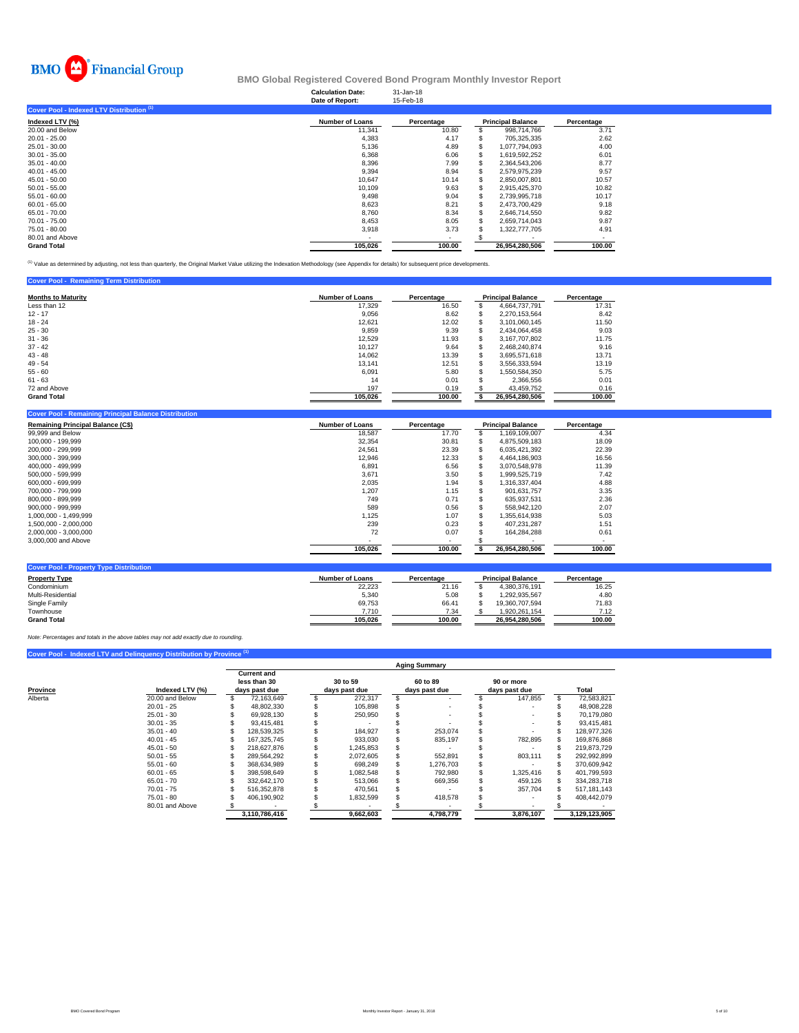

### **Calculation Date:** 31-Jan-18 **BMO Global Registered Covered Bond Program Monthly Investor Report**

|                                           | Date of Report:        | 15-Feb-18  |                          |            |
|-------------------------------------------|------------------------|------------|--------------------------|------------|
| Cover Pool - Indexed LTV Distribution (1) |                        |            |                          |            |
| Indexed LTV (%)                           | <b>Number of Loans</b> | Percentage | <b>Principal Balance</b> | Percentage |
| 20.00 and Below                           | 11,341                 | 10.80      | 998.714.766              | 3.71       |
| $20.01 - 25.00$                           | 4,383                  | 4.17       | 705,325,335              | 2.62       |
| 25.01 - 30.00                             | 5,136                  | 4.89       | 1,077,794,093            | 4.00       |
| $30.01 - 35.00$                           | 6,368                  | 6.06       | 1.619.592.252            | 6.01       |
| $35.01 - 40.00$                           | 8,396                  | 7.99       | 2.364.543.206            | 8.77       |
| $40.01 - 45.00$                           | 9.394                  | 8.94       | 2.579.975.239            | 9.57       |
| 45.01 - 50.00                             | 10.647                 | 10.14      | 2,850,007,801            | 10.57      |
| $50.01 - 55.00$                           | 10,109                 | 9.63       | 2,915,425,370            | 10.82      |
| $55.01 - 60.00$                           | 9,498                  | 9.04       | 2.739.995.718            | 10.17      |
| $60.01 - 65.00$                           | 8,623                  | 8.21       | 2.473.700.429            | 9.18       |
| 65.01 - 70.00                             | 8.760                  | 8.34       | 2.646.714.550            | 9.82       |
| 70.01 - 75.00                             | 8,453                  | 8.05       | 2,659,714,043            | 9.87       |
| 75.01 - 80.00                             | 3,918                  | 3.73       | 1,322,777,705            | 4.91       |
| 80.01 and Above                           |                        |            |                          |            |
| <b>Grand Total</b>                        | 105,026                | 100.00     | 26.954.280.506           | 100.00     |

<sup>(1)</sup> Value as determined by adjusting, not less than quarterly, the Original Market Value utilizing the Indexation Methodology (see Appendix for details) for subsequent price developments.

| <b>Cover Pool - Remaining Term Distribution</b> |                        |            |                          |            |
|-------------------------------------------------|------------------------|------------|--------------------------|------------|
| <b>Months to Maturity</b>                       | <b>Number of Loans</b> | Percentage | <b>Principal Balance</b> | Percentage |
| Less than 12                                    | 17.329                 | 16.50      | 4.664.737.791            | 17.31      |
| $12 - 17$                                       | 9,056                  | 8.62       | 2.270.153.564            | 8.42       |
| $18 - 24$                                       | 12.621                 | 12.02      | 3.101.060.145            | 11.50      |
| $25 - 30$                                       | 9,859                  | 9.39       | 2.434.064.458            | 9.03       |
| $31 - 36$                                       | 12.529                 | 11.93      | 3.167.707.802            | 11.75      |
| $37 - 42$                                       | 10.127                 | 9.64       | 2.468.240.874            | 9.16       |
| $43 - 48$                                       | 14.062                 | 13.39      | 3.695.571.618            | 13.71      |
| $49 - 54$                                       | 13.141                 | 12.51      | 3.556.333.594            | 13.19      |
| $55 - 60$                                       | 6.091                  | 5.80       | .550.584.350             | 5.75       |
| $61 - 63$                                       | 14                     | 0.01       | 2,366,556                | 0.01       |
| 72 and Above                                    | 197                    | 0.19       | 43,459,752               | 0.16       |
| <b>Grand Total</b>                              | 105,026                | 100.00     | 26.954.280.506           | 100.00     |

| <b>Remaining Principal Balance (C\$)</b> | <b>Number of Loans</b> | Percentage |   | <b>Principal Balance</b> | Percentage |
|------------------------------------------|------------------------|------------|---|--------------------------|------------|
| 99,999 and Below                         | 18.587                 | 17.70      |   | 1.169.109.007            | 4.34       |
| 100.000 - 199.999                        | 32,354                 | 30.81      |   | 4,875,509,183            | 18.09      |
| 200.000 - 299.999                        | 24.561                 | 23.39      | Ъ | 6.035.421.392            | 22.39      |
| 300,000 - 399,999                        | 12.946                 | 12.33      | S | 4.464.186.903            | 16.56      |
| 400.000 - 499.999                        | 6,891                  | 6.56       | S | 3.070.548.978            | 11.39      |
| 500,000 - 599,999                        | 3,671                  | 3.50       | ж | 1,999,525,719            | 7.42       |
| 600,000 - 699,999                        | 2,035                  | 1.94       | ъ | 1.316.337.404            | 4.88       |
| 700.000 - 799.999                        | 1,207                  | 1.15       |   | 901.631.757              | 3.35       |
| 800.000 - 899.999                        | 749                    | 0.71       |   | 635,937,531              | 2.36       |
| 900.000 - 999.999                        | 589                    | 0.56       |   | 558.942.120              | 2.07       |
| 1,000,000 - 1,499,999                    | 1,125                  | 1.07       |   | 1,355,614,938            | 5.03       |
| 1.500.000 - 2.000.000                    | 239                    | 0.23       |   | 407.231.287              | 1.51       |
| 2,000,000 - 3,000,000                    | 72                     | 0.07       |   | 164,284,288              | 0.61       |
| 3,000,000 and Above                      |                        |            |   |                          |            |
|                                          | 105,026                | 100.00     |   | 26,954,280,506           | 100.00     |

| <b>Property Type</b> | <b>Number of Loans</b> | Percentage | <b>Principal Balance</b> | Percentage |
|----------------------|------------------------|------------|--------------------------|------------|
| Condominium          | 22.223                 | 21.16      | 4.380.376.191            | 16.25      |
| Multi-Residential    | 5.340                  | 5.08       | 1.292.935.567            | 4.80       |
| Single Family        | 69.753                 | 66.41      | 19.360.707.594           | 71.83      |
| Townhouse            | 7.710                  | 7.34       | 1.920.261.154            | 7.12       |
| <b>Grand Total</b>   | 105.026                | 100.00     | 26.954.280.506           | 100.00     |

*Note: Percentages and totals in the above tables may not add exactly due to rounding.*

**Coverty Type Distribution** 

## **Cover Pool - Indexed LTV and Delinquency Distribution by Province**

|          |                 | <b>Aging Summary</b> |                                                     |  |                           |  |                           |  |                             |    |               |
|----------|-----------------|----------------------|-----------------------------------------------------|--|---------------------------|--|---------------------------|--|-----------------------------|----|---------------|
| Province | Indexed LTV (%) |                      | <b>Current and</b><br>less than 30<br>days past due |  | 30 to 59<br>days past due |  | 60 to 89<br>days past due |  | 90 or more<br>days past due |    | Total         |
| Alberta  | 20.00 and Below |                      | 72.163.649                                          |  | 272.317                   |  |                           |  | 147.855                     | S. | 72,583,821    |
|          | $20.01 - 25$    |                      | 48.802.330                                          |  | 105.898                   |  |                           |  |                             |    | 48,908,228    |
|          | $25.01 - 30$    |                      | 69,928,130                                          |  | 250,950                   |  |                           |  |                             |    | 70,179,080    |
|          | $30.01 - 35$    |                      | 93.415.481                                          |  |                           |  |                           |  |                             |    | 93.415.481    |
|          | $35.01 - 40$    |                      | 128.539.325                                         |  | 184.927                   |  | 253.074                   |  |                             |    | 128.977.326   |
|          | $40.01 - 45$    |                      | 167.325.745                                         |  | 933.030                   |  | 835.197                   |  | 782,895                     |    | 169.876.868   |
|          | $45.01 - 50$    |                      | 218.627.876                                         |  | 1.245.853                 |  |                           |  |                             |    | 219.873.729   |
|          | $50.01 - 55$    |                      | 289.564.292                                         |  | 2,072,605                 |  | 552,891                   |  | 803,111                     |    | 292,992,899   |
|          | $55.01 - 60$    |                      | 368.634.989                                         |  | 698.249                   |  | 1.276.703                 |  |                             |    | 370.609.942   |
|          | $60.01 - 65$    |                      | 398.598.649                                         |  | 1.082.548                 |  | 792.980                   |  | 1.325.416                   |    | 401.799.593   |
|          | $65.01 - 70$    |                      | 332.642.170                                         |  | 513.066                   |  | 669.356                   |  | 459,126                     |    | 334.283.718   |
|          | $70.01 - 75$    |                      | 516.352.878                                         |  | 470.561                   |  |                           |  | 357.704                     |    | 517.181.143   |
|          | $75.01 - 80$    |                      | 406,190,902                                         |  | 1,832,599                 |  | 418,578                   |  |                             |    | 408.442.079   |
|          | 80.01 and Above |                      |                                                     |  |                           |  |                           |  |                             |    |               |
|          |                 |                      | 3.110.786.416                                       |  | 9.662.603                 |  | 4.798.779                 |  | 3.876.107                   |    | 3.129.123.905 |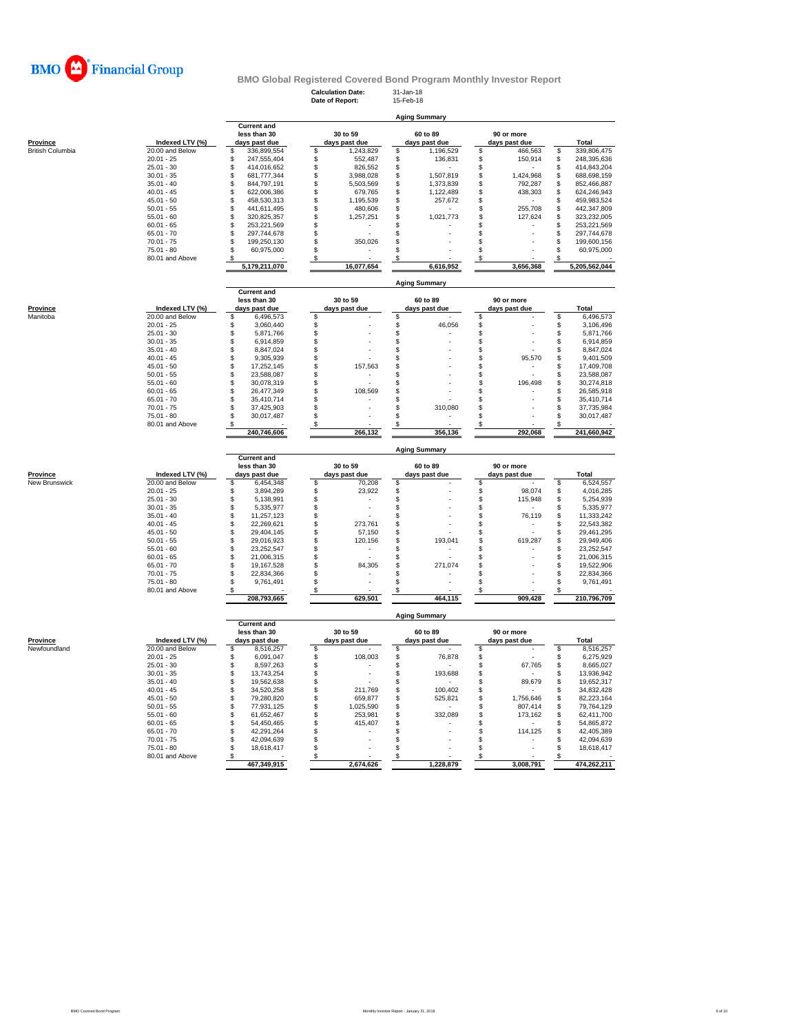

**Calculation Date:** 31-Jan-18 **Date of Report:** 15-Feb-18

| rovince              | Indexed L                    |
|----------------------|------------------------------|
| British Columbia     | 20.00 and Bel                |
|                      | $20.01 - 25$<br>$25.01 - 30$ |
|                      | $30.01 - 35$                 |
|                      | $35.01 - 40$                 |
|                      | $40.01 - 45$                 |
|                      | $45.01 - 50$                 |
|                      | $50.01 - 55$                 |
|                      | $55.01 - 60$                 |
|                      | $60.01 - 65$                 |
|                      | $65.01 - 70$                 |
|                      | $70.01 - 75$                 |
|                      | 75.01 - 80                   |
|                      | 80.01 and Abo                |
|                      |                              |
| rovince              | Indexed L'                   |
| <b>Aanitoba</b>      | 20.00 and Bel                |
|                      | $20.01 - 25$                 |
|                      | $25.01 - 30$                 |
|                      | $30.01 - 35$                 |
|                      | $35.01 - 40$                 |
|                      | $40.01 - 45$                 |
|                      | $45.01 - 50$                 |
|                      | $50.01 - 55$                 |
|                      | $55.01 - 60$                 |
|                      | 60.01 - 65                   |
|                      | $65.01 - 70$<br>$70.01 - 75$ |
|                      | $75.01 - 80$                 |
|                      | 80.01 and Abo                |
|                      |                              |
|                      |                              |
| rovince              | Indexed L'                   |
| <b>Jew Brunswick</b> | 20.00 and Bel                |
|                      | $20.01 - 25$                 |
|                      | $25.01 - 30$                 |
|                      | $30.01 - 35$                 |
|                      | 35.01 - 40                   |
|                      | $40.01 - 45$                 |
|                      | $45.01 - 50$                 |
|                      | $50.01 - 55$                 |
|                      | $55.01 - 60$<br>$60.01 - 65$ |
|                      | $65.01 - 70$                 |
|                      | $70.01 - 75$                 |
|                      | $75.01 - 80$                 |
|                      | 80.01 and Abo                |
|                      |                              |
| rovince              | Indexed L'                   |
| <b>Jewfoundland</b>  | $20.00$ and Bel              |
|                      | $20.01 - 25$                 |
|                      | $25.01 - 30$                 |
|                      | $30.01 - 35$                 |

|                              |                 | <b>Aging Summary</b> |                                                     |  |                           |  |                           |  |                             |    |               |  |  |  |  |
|------------------------------|-----------------|----------------------|-----------------------------------------------------|--|---------------------------|--|---------------------------|--|-----------------------------|----|---------------|--|--|--|--|
| Province<br>British Columbia | Indexed LTV (%) |                      | <b>Current and</b><br>less than 30<br>days past due |  | 30 to 59<br>days past due |  | 60 to 89<br>days past due |  | 90 or more<br>days past due |    | Total         |  |  |  |  |
|                              | 20.00 and Below |                      | 336,899,554                                         |  | 1,243,829                 |  | 1,196,529                 |  | 466,563                     |    | 339,806,475   |  |  |  |  |
|                              | $20.01 - 25$    |                      | 247.555.404                                         |  | 552.487                   |  | 136.831                   |  | 150.914                     |    | 248,395,636   |  |  |  |  |
|                              | $25.01 - 30$    |                      | 414.016.652                                         |  | 826.552                   |  |                           |  |                             |    | 414.843.204   |  |  |  |  |
|                              | $30.01 - 35$    |                      | 681.777.344                                         |  | 3,988,028                 |  | 1.507.819                 |  | 1.424.968                   |    | 688,698,159   |  |  |  |  |
|                              | $35.01 - 40$    |                      | 844.797.191                                         |  | 5,503,569                 |  | 1.373.839                 |  | 792,287                     | S. | 852,466,887   |  |  |  |  |
|                              | $40.01 - 45$    |                      | 622.006.386                                         |  | 679.765                   |  | 1.122.489                 |  | 438,303                     | S. | 624.246.943   |  |  |  |  |
|                              | $45.01 - 50$    |                      | 458.530.313                                         |  | 1,195,539                 |  | 257,672                   |  |                             |    | 459,983,524   |  |  |  |  |
|                              | $50.01 - 55$    |                      | 441.611.495                                         |  | 480,606                   |  |                           |  | 255.708                     |    | 442.347.809   |  |  |  |  |
|                              | $55.01 - 60$    |                      | 320.825.357                                         |  | 1.257.251                 |  | 1.021.773                 |  | 127,624                     |    | 323,232,005   |  |  |  |  |
|                              | $60.01 - 65$    |                      | 253.221.569                                         |  |                           |  |                           |  |                             |    | 253,221,569   |  |  |  |  |
|                              | $65.01 - 70$    |                      | 297.744.678                                         |  |                           |  |                           |  |                             |    | 297.744.678   |  |  |  |  |
|                              | $70.01 - 75$    |                      | 199.250.130                                         |  | 350,026                   |  |                           |  |                             |    | 199,600,156   |  |  |  |  |
|                              | 75.01 - 80      |                      | 60.975.000                                          |  |                           |  |                           |  |                             |    | 60.975.000    |  |  |  |  |
|                              | 80.01 and Above |                      |                                                     |  |                           |  |                           |  |                             |    |               |  |  |  |  |
|                              |                 |                      | 5,179,211,070                                       |  | 16.077.654                |  | 6,616,952                 |  | 3.656.368                   |    | 5,205,562,044 |  |  |  |  |

|  | <b>Aging Summary</b> |
|--|----------------------|
|  |                      |

|          |                 | <b>Current and</b><br>less than 30<br>days past due |             | 30 to 59      | 60 to 89      | 90 or more    |       |             |
|----------|-----------------|-----------------------------------------------------|-------------|---------------|---------------|---------------|-------|-------------|
| Province | Indexed LTV (%) |                                                     |             | days past due | days past due | days past due | Total |             |
| Manitoba | 20.00 and Below |                                                     | 6,496,573   |               |               |               |       | 6,496,573   |
|          | $20.01 - 25$    |                                                     | 3.060.440   |               | 46,056        |               |       | 3.106.496   |
|          | $25.01 - 30$    |                                                     | 5,871,766   |               |               |               |       | 5,871,766   |
|          | $30.01 - 35$    |                                                     | 6.914.859   |               |               |               |       | 6,914,859   |
|          | $35.01 - 40$    |                                                     | 8.847.024   |               |               |               |       | 8,847,024   |
|          | $40.01 - 45$    |                                                     | 9.305.939   |               |               | 95,570        |       | 9,401,509   |
|          | $45.01 - 50$    |                                                     | 17.252.145  | 157,563       |               |               |       | 17,409,708  |
|          | $50.01 - 55$    |                                                     | 23.588.087  |               |               |               |       | 23,588,087  |
|          | $55.01 - 60$    |                                                     | 30.078.319  |               |               | 196.498       |       | 30,274,818  |
|          | $60.01 - 65$    |                                                     | 26.477.349  | 108,569       |               |               |       | 26,585,918  |
|          | $65.01 - 70$    |                                                     | 35.410.714  |               |               |               |       | 35,410,714  |
|          | $70.01 - 75$    |                                                     | 37.425.903  |               | 310.080       |               |       | 37,735,984  |
|          | $75.01 - 80$    |                                                     | 30.017.487  |               |               |               |       | 30,017,487  |
|          | 80.01 and Above |                                                     |             |               |               |               |       |             |
|          |                 |                                                     | 240.746.606 | 266.132       | 356.136       | 292.068       |       | 241,660,942 |

|                           |                 |                                                     | <b>Aging Summary</b> |                           |         |  |                           |  |                             |  |              |  |  |  |  |  |
|---------------------------|-----------------|-----------------------------------------------------|----------------------|---------------------------|---------|--|---------------------------|--|-----------------------------|--|--------------|--|--|--|--|--|
| Province<br>New Brunswick | Indexed LTV (%) | <b>Current and</b><br>less than 30<br>days past due |                      | 30 to 59<br>days past due |         |  | 60 to 89<br>days past due |  | 90 or more<br>days past due |  | <b>Total</b> |  |  |  |  |  |
|                           | 20.00 and Below |                                                     | 6.454.348            |                           | 70,208  |  |                           |  |                             |  | 6.524.557    |  |  |  |  |  |
|                           | $20.01 - 25$    |                                                     | 3.894.289            |                           | 23,922  |  |                           |  | 98,074                      |  | 4,016,285    |  |  |  |  |  |
|                           | $25.01 - 30$    |                                                     | 5.138.991            |                           |         |  | ۰                         |  | 115.948                     |  | 5,254,939    |  |  |  |  |  |
|                           | $30.01 - 35$    |                                                     | 5.335.977            |                           |         |  |                           |  |                             |  | 5,335,977    |  |  |  |  |  |
|                           | $35.01 - 40$    |                                                     | 11.257.123           |                           |         |  | ۰                         |  | 76,119                      |  | 11,333,242   |  |  |  |  |  |
|                           | $40.01 - 45$    |                                                     | 22.269.621           |                           | 273,761 |  |                           |  |                             |  | 22,543,382   |  |  |  |  |  |
|                           | $45.01 - 50$    |                                                     | 29.404.145           |                           | 57,150  |  |                           |  |                             |  | 29.461.295   |  |  |  |  |  |
|                           | $50.01 - 55$    |                                                     | 29.016.923           |                           | 120,156 |  | 193,041                   |  | 619,287                     |  | 29,949,406   |  |  |  |  |  |
|                           | $55.01 - 60$    |                                                     | 23.252.547           |                           |         |  |                           |  |                             |  | 23,252,547   |  |  |  |  |  |
|                           | $60.01 - 65$    |                                                     | 21.006.315           |                           |         |  |                           |  |                             |  | 21,006,315   |  |  |  |  |  |
|                           | $65.01 - 70$    |                                                     | 19.167.528           |                           | 84,305  |  | 271.074                   |  |                             |  | 19,522,906   |  |  |  |  |  |
|                           | $70.01 - 75$    |                                                     | 22.834.366           |                           |         |  |                           |  |                             |  | 22,834,366   |  |  |  |  |  |
|                           | $75.01 - 80$    |                                                     | 9.761.491            |                           |         |  |                           |  | $\overline{\phantom{a}}$    |  | 9.761.491    |  |  |  |  |  |
|                           | 80.01 and Above |                                                     |                      |                           |         |  |                           |  |                             |  |              |  |  |  |  |  |
|                           |                 |                                                     | 208,793,665          |                           | 629,501 |  | 464,115                   |  | 909,428                     |  | 210,796,709  |  |  |  |  |  |

|--|

|              |                 |                               | <b>UUITEIR</b> and |               |               |               |       |             |
|--------------|-----------------|-------------------------------|--------------------|---------------|---------------|---------------|-------|-------------|
|              |                 | less than 30<br>days past due |                    | 30 to 59      | 60 to 89      | 90 or more    |       |             |
| Province     | Indexed LTV (%) |                               |                    | days past due | days past due | days past due | Total |             |
| Newfoundland | 20.00 and Below |                               | 8.516.257          |               |               |               |       | 8,516,257   |
|              | $20.01 - 25$    |                               | 6.091.047          | 108,003       | 76.878        |               |       | 6,275,929   |
|              | $25.01 - 30$    |                               | 8.597.263          |               |               | 67.765        |       | 8,665,027   |
|              | $30.01 - 35$    |                               | 13.743.254         |               | 193.688       |               |       | 13.936.942  |
|              | $35.01 - 40$    |                               | 19.562.638         |               |               | 89,679        |       | 19.652.317  |
|              | $40.01 - 45$    |                               | 34.520.258         | 211.769       | 100.402       |               |       | 34,832,428  |
|              | $45.01 - 50$    |                               | 79.280.820         | 659,877       | 525.821       | 1.756.646     |       | 82.223.164  |
|              | $50.01 - 55$    |                               | 77.931.125         | 1.025.590     |               | 807.414       |       | 79.764.129  |
|              | $55.01 - 60$    |                               | 61.652.467         | 253,981       | 332.089       | 173.162       |       | 62.411.700  |
|              | $60.01 - 65$    |                               | 54.450.465         | 415.407       |               |               |       | 54.865.872  |
|              | $65.01 - 70$    |                               | 42.291.264         |               |               | 114.125       |       | 42.405.389  |
|              | $70.01 - 75$    |                               | 42.094.639         |               |               |               |       | 42.094.639  |
|              | $75.01 - 80$    |                               | 18.618.417         |               |               |               |       | 18.618.417  |
|              | 80.01 and Above |                               |                    |               |               |               |       |             |
|              |                 |                               | 467,349,915        | 2,674,626     | 1,228,879     | 3,008,791     |       | 474.262.211 |
|              |                 |                               |                    |               |               |               |       |             |

**Current and**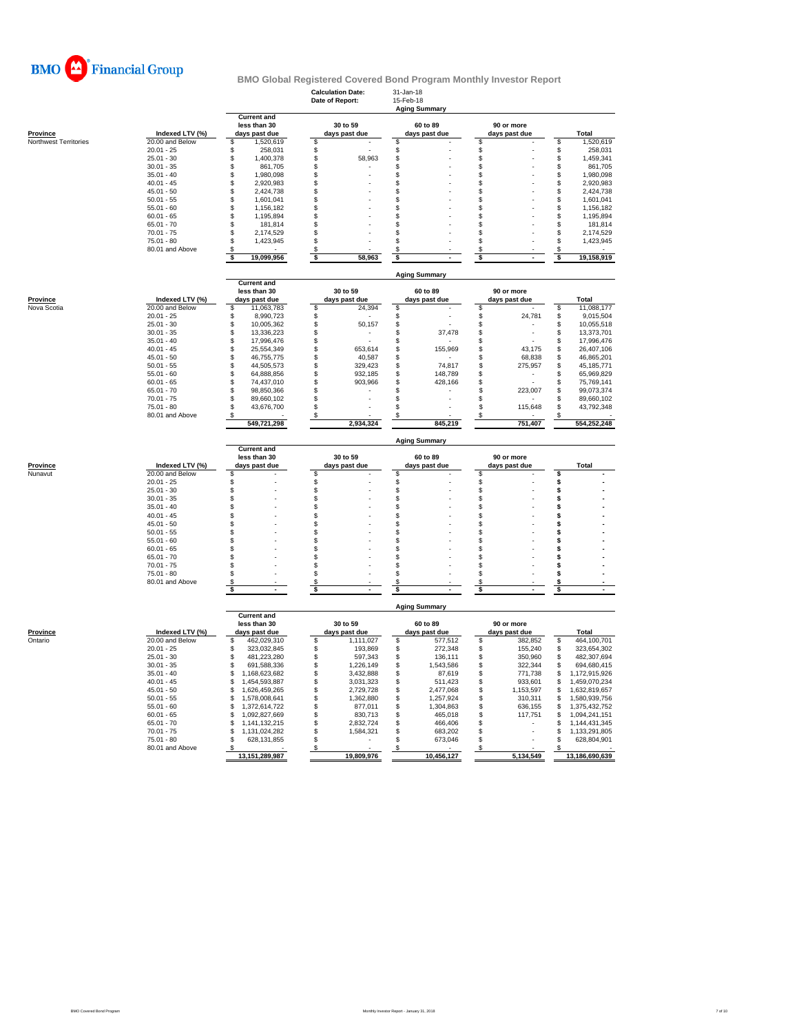

|                       |                                    |                                       | <b>Calculation Date:</b><br>Date of Report: | 31-Jan-18<br>15-Feb-18<br><b>Aging Summary</b> |                                |                                            |
|-----------------------|------------------------------------|---------------------------------------|---------------------------------------------|------------------------------------------------|--------------------------------|--------------------------------------------|
|                       |                                    | <b>Current and</b><br>less than 30    | 30 to 59                                    | 60 to 89                                       | 90 or more                     |                                            |
| <b>Province</b>       | Indexed LTV (%)                    | days past due                         | days past due                               | days past due                                  | days past due                  | Total                                      |
| Northwest Territories | 20.00 and Below<br>$20.01 - 25$    | 1,520,619<br>\$<br>\$<br>258,031      | \$<br>\$                                    | \$<br>\$                                       | \$<br>\$                       | 1,520,619<br>\$<br>\$<br>258,031           |
|                       | $25.01 - 30$                       | \$<br>1,400,378                       | \$<br>58.963                                | \$                                             | \$                             | 1,459,341<br>\$                            |
|                       | $30.01 - 35$                       | \$<br>861,705                         | \$                                          | \$                                             | \$                             | 861,705<br>\$                              |
|                       | $35.01 - 40$                       | \$<br>1,980,098                       | \$                                          | \$                                             | \$                             | \$<br>1,980,098                            |
|                       | $40.01 - 45$                       | \$<br>2,920,983                       | \$                                          | \$                                             | \$                             | 2,920,983<br>\$                            |
|                       | $45.01 - 50$                       | \$<br>2,424,738                       | \$                                          | \$                                             | \$                             | \$<br>2,424,738                            |
|                       | $50.01 - 55$                       | \$<br>1.601.041                       | \$                                          | \$                                             | \$                             | 1,601,041<br>S                             |
|                       | $55.01 - 60$<br>$60.01 - 65$       | \$<br>1,156,182<br>\$<br>1,195,894    | \$<br>\$                                    | \$<br>\$                                       | \$<br>\$                       | \$<br>1,156,182<br>\$<br>1,195,894         |
|                       | $65.01 - 70$                       | \$<br>181,814                         | \$                                          | \$                                             | \$                             | 181,814<br>S                               |
|                       | $70.01 - 75$                       | \$<br>2,174,529                       | \$                                          | \$                                             | \$                             | \$<br>2,174,529                            |
|                       | 75.01 - 80                         | \$<br>1,423,945                       | \$                                          | \$                                             | \$                             | S<br>1,423,945                             |
|                       | 80.01 and Above                    | \$                                    | \$                                          | \$                                             | \$                             | \$                                         |
|                       |                                    | 19,099,956<br>\$                      | \$<br>58,963                                | \$                                             | \$                             | 19,158,919<br>\$                           |
|                       |                                    | <b>Current and</b>                    |                                             | <b>Aging Summary</b>                           |                                |                                            |
|                       |                                    | less than 30                          | 30 to 59                                    | 60 to 89                                       | 90 or more                     |                                            |
| <b>Province</b>       | Indexed LTV (%)                    | days past due                         | days past due                               | days past due                                  | days past due                  | Total                                      |
| Nova Scotia           | 20.00 and Below                    | \$<br>11,063,783                      | \$<br>24,394                                | \$                                             | \$                             | 11,088,177<br>\$                           |
|                       | $20.01 - 25$                       | \$<br>8,990,723                       | \$                                          | \$                                             | \$<br>24,781                   | \$<br>9,015,504                            |
|                       | $25.01 - 30$                       | \$<br>10,005,362                      | \$<br>50,157                                | \$                                             | \$                             | \$<br>10,055,518                           |
|                       | $30.01 - 35$<br>$35.01 - 40$       | \$<br>13,336,223<br>\$<br>17,996,476  | \$<br>\$                                    | \$<br>37,478<br>\$                             | \$<br>\$                       | \$<br>13,373,701<br>17,996,476<br>\$       |
|                       | $40.01 - 45$                       | \$<br>25,554,349                      | \$<br>653,614                               | \$<br>155,969                                  | \$<br>43,175                   | \$<br>26,407,106                           |
|                       | $45.01 - 50$                       | \$<br>46,755,775                      | \$<br>40,587                                | \$                                             | \$<br>68,838                   | \$<br>46,865,201                           |
|                       | $50.01 - 55$                       | \$<br>44.505.573                      | \$<br>329,423                               | \$<br>74,817                                   | \$<br>275,957                  | S<br>45,185,771                            |
|                       | $55.01 - 60$                       | Ŝ<br>64,888,856                       | \$<br>932,185                               | \$<br>148,789                                  | \$                             | 65,969,829<br>S                            |
|                       | $60.01 - 65$                       | \$<br>74,437,010                      | \$<br>903,966                               | \$<br>428,166                                  | \$                             | \$<br>75,769,141                           |
|                       | $65.01 - 70$                       | \$<br>98.850.366                      | \$                                          | \$                                             | \$<br>223,007                  | S<br>99.073.374                            |
|                       | $70.01 - 75$<br>75.01 - 80         | \$<br>89,660,102<br>\$                | \$<br>\$                                    | \$<br>\$                                       | \$<br>\$                       | \$<br>89,660,102<br>\$<br>43,792,348       |
|                       | 80.01 and Above                    | 43,676,700                            | S                                           |                                                | 115,648<br>S.                  |                                            |
|                       |                                    | 549,721,298                           | 2,934,324                                   | 845,219                                        | 751,407                        | 554,252,248                                |
|                       |                                    |                                       |                                             |                                                |                                |                                            |
|                       |                                    |                                       |                                             | <b>Aging Summary</b>                           |                                |                                            |
|                       |                                    | <b>Current and</b><br>less than 30    | 30 to 59                                    | 60 to 89                                       | 90 or more                     | Total                                      |
| Province<br>Nunavut   | Indexed LTV (%)<br>20.00 and Below | days past due<br>\$                   | days past due<br>\$                         | days past due<br>\$                            | days past due<br>\$            | \$                                         |
|                       | $20.01 - 25$                       | \$                                    | \$                                          | \$                                             | \$                             | \$                                         |
|                       | $25.01 - 30$                       | \$                                    | \$                                          | \$                                             | \$                             | \$                                         |
|                       | $30.01 - 35$                       | \$                                    | \$                                          | \$                                             | \$                             | \$                                         |
|                       | $35.01 - 40$                       | \$                                    | \$                                          | \$                                             | \$                             | \$                                         |
|                       | $40.01 - 45$                       | \$                                    | \$                                          | \$                                             | \$                             | \$                                         |
|                       | $45.01 - 50$<br>$50.01 - 55$       | \$<br>\$                              | \$                                          | \$<br>\$                                       | \$                             | \$<br>\$                                   |
|                       | $55.01 - 60$                       | \$                                    | \$<br>\$                                    | \$                                             | \$<br>\$                       | \$                                         |
|                       | $60.01 - 65$                       | \$                                    | \$                                          | \$                                             | \$                             | \$                                         |
|                       | $65.01 - 70$                       | \$                                    | \$                                          | \$                                             | \$                             | \$                                         |
|                       | $70.01 - 75$                       | \$                                    | \$                                          | \$                                             | \$                             | \$                                         |
|                       | $75.01 - 80$                       | \$                                    | \$                                          | \$                                             | \$                             | \$                                         |
|                       | 80.01 and Above                    | \$<br>\$                              | \$<br>s                                     | \$<br>\$                                       | \$<br>\$                       | s<br>\$                                    |
|                       |                                    |                                       |                                             | <b>Aging Summary</b>                           |                                |                                            |
|                       |                                    | <b>Current and</b>                    |                                             |                                                |                                |                                            |
|                       |                                    | less than 30                          | 30 to 59                                    | 60 to 89                                       | 90 or more                     |                                            |
| <b>Province</b>       | Indexed LTV (%)                    | days past due                         | days past due                               | days past due                                  | days past due                  | Total                                      |
| Ontario               | 20.00 and Below<br>$20.01 - 25$    | 462,029,310<br>\$<br>S<br>323,032,845 | \$<br>1,111,027<br>\$<br>193,869            | \$<br>577,512<br>272,348                       | \$<br>382,852<br>\$<br>155,240 | \$<br>464,100,701<br>323,654,302<br>\$     |
|                       | $25.01 - 30$                       | 481.223.280<br>\$                     | \$<br>597,343                               | \$<br>\$<br>136,111                            | \$<br>350,960                  | 482,307,694<br>\$                          |
|                       | $30.01 - 35$                       | \$<br>691,588,336                     | \$<br>1,226,149                             | \$<br>1,543,586                                | \$<br>322,344                  | 694,680,415<br>S                           |
|                       | $35.01 - 40$                       | \$<br>1,168,623,682                   | \$<br>3,432,888                             | \$<br>87,619                                   | \$<br>771,738                  | S<br>1,172,915,926                         |
|                       | $40.01 - 45$                       | \$<br>1,454,593,887                   | \$<br>3,031,323                             | \$<br>511,423                                  | \$<br>933,601                  | \$<br>1,459,070,234                        |
|                       | $45.01 - 50$                       | S<br>1,626,459,265                    | \$<br>2,729,728                             | \$<br>2,477,068                                | \$<br>1,153,597                | \$<br>1,632,819,657                        |
|                       | $50.01 - 55$                       | \$<br>1.578.008.641<br>\$             | \$<br>1,362,880                             | \$<br>1,257,924                                | \$<br>310,311                  | \$<br>1.580.939.756                        |
|                       | $55.01 - 60$<br>$60.01 - 65$       | 1,372,614,722<br>\$<br>1,092,827,669  | \$<br>877,011<br>\$<br>830,713              | \$<br>1,304,863<br>\$<br>465,018               | \$<br>636,155<br>\$<br>117,751 | \$<br>1,375,432,752<br>\$<br>1,094,241,151 |
|                       | $65.01 - 70$                       | \$<br>1,141,132,215                   | \$<br>2.832.724                             | \$<br>466,406                                  | \$                             | 1,144,431,345<br>\$                        |
|                       | $70.01 - 75$                       | \$<br>1,131,024,282                   | \$<br>1,584,321                             | \$<br>683,202                                  | \$                             | \$<br>1,133,291,805                        |
|                       | 75.01 - 80                         | \$<br>628,131,855                     | \$                                          | \$<br>673,046                                  | \$                             | S<br>628,804,901                           |
|                       | 80.01 and Above                    | \$<br>13,151,289,987                  | \$<br>19,809,976                            | \$<br>10,456,127                               | \$<br>5,134,549                | \$<br>13,186,690,639                       |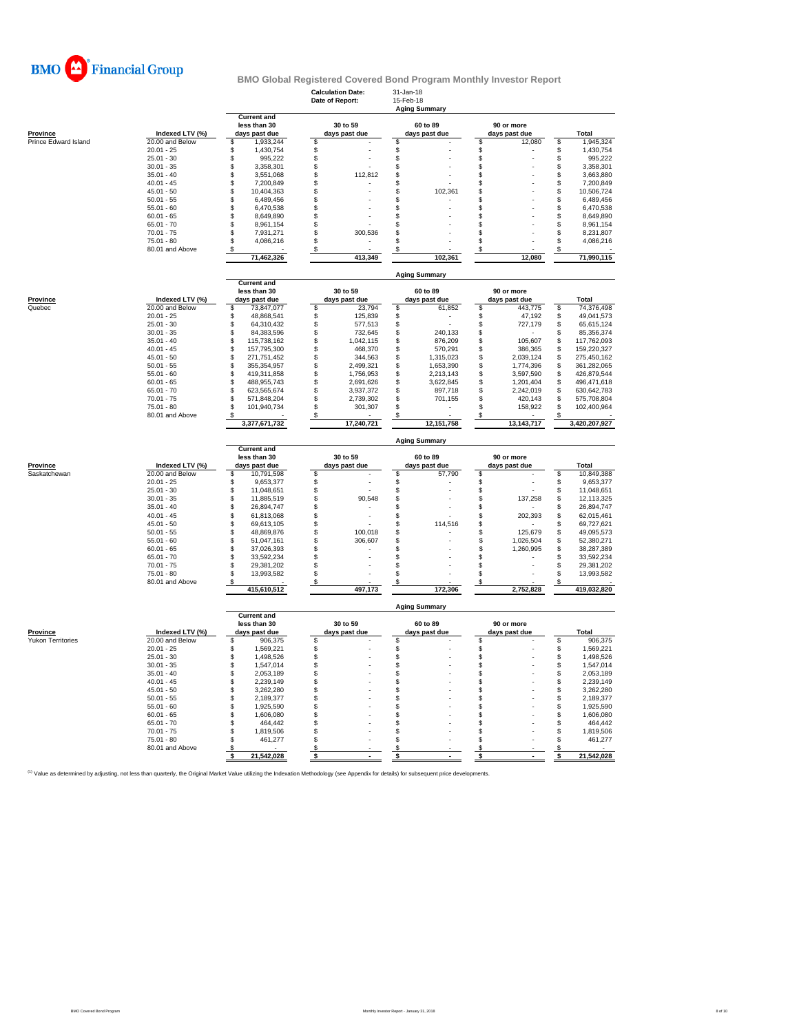

|                          |                                    |                                                     | <b>Calculation Date:</b><br>Date of Report: | 31-Jan-18<br>15-Feb-18<br><b>Aging Summary</b> |                             |                               |  |  |  |  |  |
|--------------------------|------------------------------------|-----------------------------------------------------|---------------------------------------------|------------------------------------------------|-----------------------------|-------------------------------|--|--|--|--|--|
| Province                 | Indexed LTV (%)                    | <b>Current and</b><br>less than 30<br>days past due | 30 to 59<br>days past due                   | 60 to 89<br>days past due                      | 90 or more<br>days past due | Total                         |  |  |  |  |  |
| Prince Edward Island     | 20.00 and Below                    | \$<br>1,933,244                                     | \$                                          | \$                                             | \$<br>12,080                | \$<br>1,945,324               |  |  |  |  |  |
|                          | $20.01 - 25$                       | \$<br>1,430,754                                     | \$                                          | \$                                             | \$                          | \$<br>1,430,754               |  |  |  |  |  |
|                          | $25.01 - 30$                       | \$<br>995,222                                       | $\mathsf{\$}$                               | \$                                             | \$                          | \$<br>995,222                 |  |  |  |  |  |
|                          | $30.01 - 35$                       | \$<br>3,358,301                                     | \$                                          | \$                                             | \$                          | \$<br>3,358,301               |  |  |  |  |  |
|                          | $35.01 - 40$                       | \$<br>3,551,068                                     | \$<br>112,812                               | \$                                             | \$                          | \$<br>3,663,880               |  |  |  |  |  |
|                          | $40.01 - 45$                       | 7,200,849<br>\$                                     | \$                                          | \$                                             | \$                          | \$<br>7,200,849               |  |  |  |  |  |
|                          | $45.01 - 50$                       | \$<br>10,404,363                                    | \$                                          | \$<br>102,361                                  | \$                          | \$<br>10,506,724              |  |  |  |  |  |
|                          | $50.01 - 55$                       | \$<br>6,489,456                                     | \$                                          | \$                                             | \$                          | \$<br>6,489,456               |  |  |  |  |  |
|                          | $55.01 - 60$                       | \$<br>6.470.538                                     | \$                                          | \$                                             | \$                          | \$<br>6.470.538               |  |  |  |  |  |
|                          | $60.01 - 65$                       | \$<br>8,649,890                                     | \$                                          | \$                                             | \$                          | \$<br>8,649,890               |  |  |  |  |  |
|                          | $65.01 - 70$                       | \$<br>8,961,154                                     | \$                                          | \$                                             | \$                          | \$<br>8,961,154               |  |  |  |  |  |
|                          | $70.01 - 75$                       | \$<br>7,931,271                                     | 300,536<br>\$                               | \$                                             | \$                          | \$<br>8,231,807               |  |  |  |  |  |
|                          | $75.01 - 80$                       | \$<br>4,086,216                                     | \$                                          | \$                                             | \$                          | \$<br>4,086,216               |  |  |  |  |  |
|                          | 80.01 and Above                    | \$                                                  | \$                                          | S                                              | \$                          | \$                            |  |  |  |  |  |
|                          |                                    | 71,462,326                                          | 413,349                                     | 102.361                                        | 12,080                      | 71,990,115                    |  |  |  |  |  |
|                          |                                    |                                                     |                                             | <b>Aging Summary</b>                           |                             |                               |  |  |  |  |  |
|                          |                                    | <b>Current and</b>                                  |                                             |                                                |                             |                               |  |  |  |  |  |
|                          |                                    | less than 30                                        | 30 to 59                                    | 60 to 89                                       | 90 or more                  |                               |  |  |  |  |  |
| Province                 | Indexed LTV (%)                    | days past due                                       | days past due                               | days past due                                  | days past due               | Total                         |  |  |  |  |  |
| Quebec                   | 20.00 and Below                    | \$<br>73,847,077                                    | \$<br>23,794                                | \$<br>61,852                                   | \$<br>443,775               | 74,376,498<br>\$              |  |  |  |  |  |
|                          | $20.01 - 25$                       | \$<br>48,868,541                                    | \$<br>125,839                               | \$                                             | 47,192<br>\$                | \$<br>49,041,573              |  |  |  |  |  |
|                          | $25.01 - 30$                       | \$<br>64,310,432                                    | \$<br>577,513                               | \$                                             | \$<br>727,179               | \$<br>65,615,124              |  |  |  |  |  |
|                          | $30.01 - 35$                       | $\mathsf{\$}$<br>84,383,596                         | \$<br>732,645                               | 240,133<br>\$                                  | \$                          | \$<br>85,356,374              |  |  |  |  |  |
|                          | $35.01 - 40$                       | \$<br>115,738,162                                   | \$<br>1,042,115                             | 876,209<br>\$                                  | 105,607<br>\$               | 117,762,093<br>\$             |  |  |  |  |  |
|                          | $40.01 - 45$                       | \$<br>157,795,300                                   | \$<br>468,370                               | \$<br>570,291                                  | \$<br>386,365               | \$<br>159,220,327             |  |  |  |  |  |
|                          | $45.01 - 50$                       | $$\mathbb{S}$$<br>271,751,452                       | \$<br>344.563                               | \$<br>1,315,023                                | \$<br>2,039,124             | \$<br>275,450,162             |  |  |  |  |  |
|                          | $50.01 - 55$                       | \$<br>355, 354, 957                                 | \$<br>2,499,321                             | \$<br>1,653,390                                | \$<br>1,774,396             | \$<br>361,282,065             |  |  |  |  |  |
|                          | $55.01 - 60$                       | \$<br>419,311,858                                   | \$<br>1,756,953                             | \$<br>2,213,143                                | \$<br>3,597,590             | \$<br>426,879,544             |  |  |  |  |  |
|                          | $60.01 - 65$                       | \$<br>488,955,743                                   | \$<br>2,691,626                             | \$<br>3,622,845                                | \$<br>1,201,404             | \$<br>496,471,618             |  |  |  |  |  |
|                          | $65.01 - 70$                       | \$<br>623,565,674                                   | \$<br>3,937,372                             | \$<br>897,718                                  | \$<br>2,242,019             | \$<br>630,642,783             |  |  |  |  |  |
|                          | $70.01 - 75$                       | \$<br>571,848,204                                   | \$<br>2,739,302                             | \$<br>701,155                                  | \$<br>420,143               | \$<br>575,708,804             |  |  |  |  |  |
|                          | $75.01 - 80$                       | \$<br>101,940,734                                   | \$<br>301,307                               | \$                                             | \$<br>158,922               | \$<br>102,400,964             |  |  |  |  |  |
|                          | 80.01 and Above                    | 3,377,671,732                                       | S<br>17,240,721                             | 12,151,758                                     | \$<br>13,143,717            | 3,420,207,927                 |  |  |  |  |  |
|                          |                                    |                                                     |                                             | <b>Aging Summary</b>                           |                             |                               |  |  |  |  |  |
|                          |                                    | <b>Current and</b>                                  |                                             |                                                |                             |                               |  |  |  |  |  |
|                          |                                    | less than 30                                        | 30 to 59                                    | 60 to 89                                       | 90 or more                  |                               |  |  |  |  |  |
| Province                 | Indexed LTV (%)                    | days past due                                       | days past due                               | days past due                                  | days past due               | Total                         |  |  |  |  |  |
| Saskatchewan             | 20.00 and Below                    | 10,791,598<br>S                                     | \$                                          | 57,790<br>\$                                   | \$                          | 10,849,388<br>\$              |  |  |  |  |  |
|                          | $20.01 - 25$                       | \$<br>9,653,377                                     | \$                                          | \$                                             | \$                          | \$<br>9,653,377               |  |  |  |  |  |
|                          | $25.01 - 30$                       | \$<br>11,048,651                                    | \$                                          | \$                                             | \$                          | \$<br>11,048,651              |  |  |  |  |  |
|                          | $30.01 - 35$                       | \$<br>11,885,519                                    | \$<br>90,548                                | \$                                             | \$<br>137,258               | \$<br>12,113,325              |  |  |  |  |  |
|                          | $35.01 - 40$                       | $\mathsf{\$}$<br>26.894.747                         | \$                                          | \$                                             | \$                          | \$<br>26,894,747              |  |  |  |  |  |
|                          | $40.01 - 45$                       | \$<br>61,813,068                                    | \$                                          | \$                                             | \$<br>202,393               | \$<br>62,015,461              |  |  |  |  |  |
|                          | $45.01 - 50$                       | \$<br>69,613,105                                    | \$                                          | \$<br>114,516                                  | \$                          | \$<br>69,727,621              |  |  |  |  |  |
|                          | $50.01 - 55$                       | \$<br>48,869,876                                    | 100,018<br>\$                               | \$                                             | \$<br>125,679               | \$<br>49,095,573              |  |  |  |  |  |
|                          | $55.01 - 60$                       | \$<br>51,047,161                                    | \$<br>306,607                               | \$                                             | \$<br>1,026,504             | \$<br>52,380,271              |  |  |  |  |  |
|                          | $60.01 - 65$                       | \$<br>37,026,393                                    | \$                                          | \$                                             | \$<br>1,260,995             | \$<br>38,287,389              |  |  |  |  |  |
|                          | $65.01 - 70$                       | \$<br>33,592,234                                    | \$                                          | \$                                             | \$                          | \$<br>33,592,234              |  |  |  |  |  |
|                          | $70.01 - 75$                       | \$<br>29,381,202                                    | \$                                          | \$                                             | \$                          | \$<br>29,381,202              |  |  |  |  |  |
|                          | $75.01 - 80$<br>80.01 and Above    | \$<br>13,993,582<br>S                               | \$<br>\$                                    | \$<br>\$                                       | $\mathbf{s}$<br>\$          | \$<br>13,993,582<br>S         |  |  |  |  |  |
|                          |                                    | 415,610,512                                         | 497,173                                     | 172,306                                        | 2,752,828                   | 419,032,820                   |  |  |  |  |  |
|                          |                                    |                                                     |                                             | <b>Aging Summary</b>                           |                             |                               |  |  |  |  |  |
|                          |                                    | <b>Current and</b><br>less than 30                  | 30 to 59                                    | 60 to 89                                       | 90 or more                  |                               |  |  |  |  |  |
| <b>Province</b>          |                                    |                                                     |                                             |                                                |                             |                               |  |  |  |  |  |
| <b>Yukon Territories</b> |                                    |                                                     |                                             |                                                |                             |                               |  |  |  |  |  |
|                          | Indexed LTV (%)<br>20.00 and Below | days past due<br>\$<br>906,375                      | days past due<br>\$                         | days past due<br>\$                            | days past due<br>\$         | <b>Total</b><br>\$<br>906,375 |  |  |  |  |  |
|                          | $20.01 - 25$                       |                                                     |                                             |                                                |                             |                               |  |  |  |  |  |
|                          | $25.01 - 30$                       | \$<br>1,569,221                                     | \$<br>$\mathbb S$                           | \$                                             | \$                          | \$<br>1,569,221               |  |  |  |  |  |
|                          | $30.01 - 35$                       | \$<br>1,498,526<br>1,547,014                        |                                             | \$                                             | $\dot{\$}$                  | \$<br>1,498,526               |  |  |  |  |  |
|                          | $35.01 - 40$                       | \$<br>2,053,189                                     | \$                                          | \$                                             | \$                          | \$<br>1,547,014<br>2,053,189  |  |  |  |  |  |
|                          |                                    | \$<br>$\mathsf{\$}$<br>2,239,149                    | \$<br>\$                                    | \$<br>\$                                       | \$<br>\$                    | \$<br>2.239.149               |  |  |  |  |  |
|                          | $40.01 - 45$                       |                                                     |                                             | \$                                             |                             | \$                            |  |  |  |  |  |
|                          | $45.01 - 50$                       | \$<br>3,262,280                                     | \$                                          |                                                | \$                          | \$<br>3,262,280               |  |  |  |  |  |
|                          | $50.01 - 55$<br>$55.01 - 60$       | \$<br>2,189,377                                     | \$<br>\$.                                   | \$                                             | \$                          | \$<br>2,189,377               |  |  |  |  |  |
|                          |                                    | $\mathsf{\$}$<br>1,925,590                          |                                             | \$                                             | \$                          | \$<br>1,925,590               |  |  |  |  |  |
|                          | $60.01 - 65$                       | \$<br>1,606,080                                     | \$                                          | \$                                             | \$                          | \$<br>1,606,080               |  |  |  |  |  |
|                          | $65.01 - 70$                       | \$<br>464,442                                       | \$                                          | \$                                             | \$                          | \$<br>464,442                 |  |  |  |  |  |
|                          | $70.01 - 75$                       | \$<br>1,819,506                                     | \$                                          | \$                                             | \$                          | \$<br>1,819,506               |  |  |  |  |  |
|                          | $75.01 - 80$                       | \$<br>461,277                                       | \$                                          | \$                                             | \$                          | \$<br>461,277                 |  |  |  |  |  |
|                          | 80.01 and Above                    | \$<br>21,542,028<br>s                               | \$<br>Ŝ                                     | \$<br>\$                                       | \$<br>\$                    | \$<br>\$<br>21,542,028        |  |  |  |  |  |

<sup>(1)</sup> Value as determined by adjusting, not less than quarterly, the Original Market Value utilizing the Indexation Methodology (see Appendix for details) for subsequent price developments.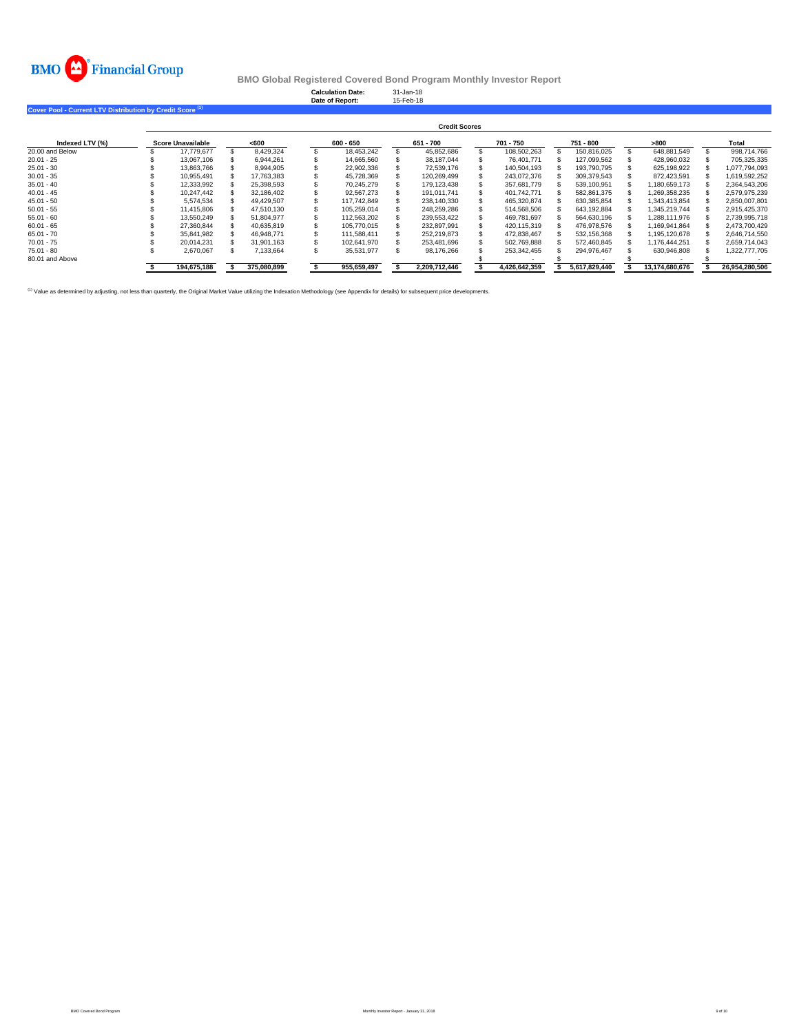

**Calculation Date:** 31-Jan-18 **Date of Report:** 15-Feb-18

**Cover Pool - Current LTV Distribution by Credit Score (1)**

|                 |                          |             |             | <b>Credit Scores</b> |               |               |                |                |
|-----------------|--------------------------|-------------|-------------|----------------------|---------------|---------------|----------------|----------------|
| Indexed LTV (%) | <b>Score Unavailable</b> | <600        | 600 - 650   | 651 - 700            | 701 - 750     | 751 - 800     | >800           | Total          |
| 20,00 and Below | 17.779.677               | 8.429.324   | 18.453.242  | 45.852.686           | 108.502.263   | 150.816.025   | 648.881.549    | 998.714.766    |
| $20.01 - 25$    | 13.067.106               | 6.944.261   | 14.665.560  | 38.187.044           | 76.401.771    | 127.099.562   | 428.960.032    | 705.325.335    |
| $25.01 - 30$    | 13.863.766               | 8.994.905   | 22,902,336  | 72.539.176           | 140.504.193   | 193.790.795   | 625.198.922    | 1.077.794.093  |
| $30.01 - 35$    | 10.955.491               | 17.763.383  | 45.728.369  | 120.269.499          | 243.072.376   | 309.379.543   | 872.423.591    | 1.619.592.252  |
| $35.01 - 40$    | 12.333.992               | 25.398.593  | 70.245.279  | 179.123.438          | 357.681.779   | 539.100.951   | .180.659.173   | 2.364.543.206  |
| $40.01 - 45$    | 10.247.442               | 32.186.402  | 92.567.273  | 191.011.741          | 401.742.771   | 582.861.375   | ,269,358,235   | 2,579,975,239  |
| $45.01 - 50$    | 5.574.534                | 49.429.507  | 117.742.849 | 238.140.330          | 465.320.874   | 630.385.854   | .343.413.854   | 2.850.007.801  |
| $50.01 - 55$    | 11.415.806               | 47.510.130  | 105.259.014 | 248.259.286          | 514.568.506   | 643.192.884   | .345.219.744   | 2.915.425.370  |
| $55.01 - 60$    | 13.550.249               | 51.804.977  | 112.563.202 | 239.553.422          | 469.781.697   | 564.630.196   | .288.111.976   | 2.739.995.718  |
| $60.01 - 65$    | 27.360.844               | 40.635.819  | 105.770.015 | 232.897.991          | 420.115.319   | 476.978.576   | .169.941.864   | 2.473.700.429  |
| $65.01 - 70$    | 35.841.982               | 46.948.771  | 111.588.411 | 252.219.873          | 472.838.467   | 532.156.368   | ,195,120,678   | 2.646.714.550  |
| $70.01 - 75$    | 20.014.231               | 31.901.163  | 102.641.970 | 253.481.696          | 502,769,888   | 572.460.845   | .176.444.251   | 2.659.714.043  |
| $75.01 - 80$    | 2,670,067                | 7.133.664   | 35.531.977  | 98.176.266           | 253.342.455   | 294.976.467   | 630.946.808    | 1.322.777.705  |
| 80.01 and Above |                          |             |             |                      |               |               |                |                |
|                 | 194.675.188              | 375.080.899 | 955.659.497 | 2.209.712.446        | 4.426.642.359 | 5.617.829.440 | 13.174.680.676 | 26.954.280.506 |

<sup>(1)</sup> Value as determined by adjusting, not less than quarterly, the Original Market Value utilizing the Indexation Methodology (see Appendix for details) for subsequent price developments.